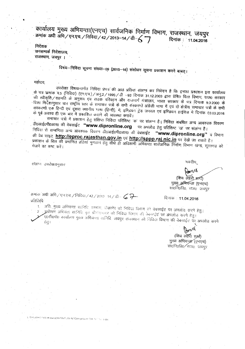कार्यालय मुख्य अभियन्ता(एनएच) सार्वजनिक निर्माण विभाग, राजस्थान, जयपुर क्रमांक अधी अभि/एन.एच./निविदा/42/2013-14/डी-6 दिनांक : 11.04.2016

निदेशक

जनसम्पर्क निदेशालय, राजस्थान, जयपुर ।

# विषयः--निविदा सूचना संख्या--09 (2015--16) संशोधन सूचना प्रकाशन करने बाबत् ।

महोदय

उपरोक्त विषयान्तर्गत निविदा प्रंपत्र की आठ प्रतिया सलग्न कर निवेदन है कि इनका प्रकाशन इस कार्यालय के पत्र कमांक प.5 (निविदा) (एन.एच.) / अनु.2 / 1995 / डी –93 दिनांक 31.12.2003 द्वारा प्रेषित वित्त विभाग, राज0 सरकार की स्वीकृति / सहमति के अनुरूप एवं सडक परिवहन और राजमार्ग मंत्रालय, भारत सरकार के पत्र दिनाक 9.3.2000 के हिशा निर्देशानुसार चार राष्ट्रीय स्तर के समाचार पत्रों के सभी संस्करणों अंग्रेजी भाषा में एवं दो क्षेत्रीय समाचार पत्रों के सभी ' संस्करणों एक हिन्दी एवं दूसरा स्थानीय गांवा (हिन्दी), में, इण्डियन ट्रेड जनरल एवं इण्डियन हाईवेज में दिनांक 03.03.2016 के पूर्व अवश्य ही एक बार में प्रकाशित कराने की व्यवस्था करावे।

समाचार पत्रों में प्रकाशन हेतु संक्षिप्त निविदा परिशिष्ट 'क' पर संलग्न है। निविदा संबंधित अन्य आवश्यक विवरण डी0आई0पी0आर0 की वेबसाईट "www.dipronline.org पर अपलोड हेतु परिशिष्ट ख पर संलग्न है। निविंदा से सम्बन्धित अन्य आवश्यक विवरण डी0आई0पी0आर0 की वेबसाईट "www.dipronline.org" व विभाग की बेब साइट http://eproc.rajasthan.gov.in एवं http://sppp.raj.nic.in पर देखें जा सकते हैं। प्रकाशन के बिल की प्रमाणित प्रतियां भुगतान हेतु सीधे ही अधिशार्षी अभियन्ता सार्वजनिक निर्माण विभाग खन्ड, सूरतगढ को

संलग्नः उपरोक्तानुसार

भवदीय

**DorM** (খিব নৰ্ৱিং) সৰ্দো)

मुख्य अमियन्ता (एनएच) साठनि०वि०, शज0 जयपुर

दिनांक : 11.04.2016

क्रमांक अधी अगि / एन.एच. / निविदा / 42 / 2013 -14 / डी $-$  6  $\rightarrow$ प्रतिलिपि

1. अति मुख्य अभियन्ता सामिटि, सम्भाग, दीकानेर को निविद्रा विभाग वर्ग वेबसाईट पर अपलोड करने हेतु। अधीक्षण अभियंता सानिवि. वृत श्रीगंगानगर को निविदा दिमाग की वेबसाईट पर अपलोड करने हेतुन ए०राी०पी० कार्यालय मुख्य अभियन्ता सानिवि. अयपुर राजस्थान को निविदा विभाग की वेबसाईट पर अपलोड करने हेतु ।

> (शिव लेहेरी शुभी) मुख्य अभियन्त्रा (एनएच) सा0नि0वि0/राज0, जयपुर

LINSKV ASHISTHA (H-comp)\NTINIT (15-16\\Comgendum Ctd. N-1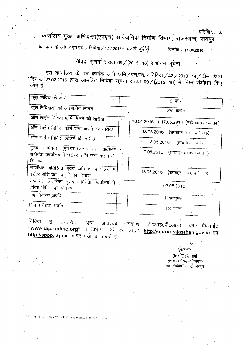$\mathbf{q}$ राष्ट्रीय कर्णाटका अवस्थित कर्णाटका अवस्थित कर्ण

कायालय मुख्य आभयन्ता(एनएच) सार्वजनिक निर्माण विभाग, राजस्थान, जयपुर

क्रमांक अधी अभि / एन.एच. / निविदा / 42 / 2013-14 / डी- $\epsilon$ ्री **~ : 11.04.2016**

 $\mathbf{I}$ 

•

# निविदा सूचना संख्या 09/(2015-16) संशोधन सूचना

इस कार्यालय के पत्र क्रमांक अधी अभि / एन.एच. / निविदा / 42 / 2013-14 / डी- 2221 : दिनाक 23.02.2016 द्वारा आमंत्रित निविदा सूचना संख्या **09 / (**2015–16) में निम्न संशोधन वि<br>-जाते हैं:–

| कुल निविदा के कार्य                                                                       | 2 कार्य क                                    |
|-------------------------------------------------------------------------------------------|----------------------------------------------|
| कुल निविदाओं की अनुमानित लागत                                                             | 276 करोड                                     |
| ऑन लाईन निविदा फार्म मिलने की तारीख                                                       | 18.04.2016 से 17.05.2016 (सांय 06.00 बजे तक) |
| ऑन लाईन निविदा फार्म जमा कराने की तारीख                                                   | 18.05.2016 (अपराहन 03.00 बजे तक)             |
| ऑन लाईन निविदा खोलने की तारीख                                                             | 18.05.2016 (सांय 05.00 बजे)                  |
| मुख्य अभियता (एन.एच.) सम्बन्धित अधीक्षण :<br>अभियंता कार्यालय में धरोहर राशि जमा कराने की | 17.05.2016 (अपराहन 03.00 बजे तक)             |
| दिनांक                                                                                    |                                              |
| सम्बन्धित अतिरिक्त मुख्य अभियंता कार्यालय में<br>धरोहर राशि जमा कराने की दिनांक           | 18.05.2016 (अपराहन 03.00 बजे तक)             |
| सम्बन्धित अतिरिक्त मुख्य अभियंता कार्यालय में<br>प्रीबिड मीटिंग की दिनांक                 | 03.05.2016                                   |
| दोष निवारण अवधि                                                                           | नियमानुसार                                   |
| निविदा वैद्यता अवधि                                                                       | 150 दिवस                                     |

निविदा से सम्बन्धित अन्य आवश्यक विवरण डी0आई0पी0आर0 की वेबसाईट<br>**"www.dipronline.org**" व विभाग की वेब साइट http://eproc.raiasthan.gov.in.पूर्व की वेब साइट **http://eproc.rajasthan.gov.in** एवं http://sppp.raj.nic.in पर देखें जा सकते हैं।

Jonath (शिवे लहरी शर्मा) एरान लहरा रामा<br>मुख्य अभियन्त्रा (एनएच) सा0नि0व्वित, राज0, जयपुर

KVASHISTHA (Hi comp)INIT\NIT (15-16)\Corrigendum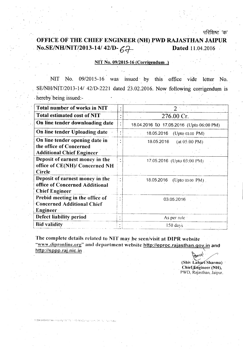परिशिष्ट 'क'

## OFFICE OF THE CHIEF ENGINEER (NH) PWD RAJASTHAN JAIPUR No.SE/NH/NIT/2013-14/ 42/D- $\mathcal{L}$   $\rightarrow$  Dated 11.04.2016

### NIT No. 09/2015-16 (Corrigendum.)

NIT No. *09/2015-16* was issued· by this office vide letter No. SE/NH/NIT/2013-14/ 42/D-2221 dated 23.02.2016. Now following corrigendum is hereby being issued:-

| Total number of works in NIT                                                                  |                                          |
|-----------------------------------------------------------------------------------------------|------------------------------------------|
| <b>Total estimated cost of NIT</b>                                                            | 276.00 Cr.                               |
| On line tender downloading date                                                               | 18.04.2016 to 17.05.2016 (Upto 06:00 PM) |
| On line tender Uploading date                                                                 | 18.05.2016<br>(Upto 03.00 PM)            |
| On line tender opening date in<br>the office of Concerned<br><b>Additional Chief Engineer</b> | 18.05.2016<br>(at 05:00 PM)              |
| Deposit of earnest money in the<br>office of CE(NH)/ Concerned NH<br>Circle                   | 17.05.2016 (Upto 03:00 PM)               |
| Deposit of earnest money in the<br>office of Concerned Additional<br><b>Chief Engineer</b>    | 18.05.2016<br>$(Upto 03.00 P.M)$ .       |
| Prebid meeting in the office of<br><b>Concerned Additional Chief</b><br>Engineer -            | 03.05.2016                               |
| Defect liability period                                                                       | As per rule                              |
| <b>Bid validity</b>                                                                           | $150$ days                               |

The complete details related to NIT may be seen/visit at DIPR website "www.dipronline.org" and department website http://eproc.rajasthan.gov.in and http://sppp.raj.nic.in

**EASKVASHISTEM** 

 $\star$ (Shiv Lahari Sharma) Chief Engineer (NH), PWD, Rajasthan, Jaipur.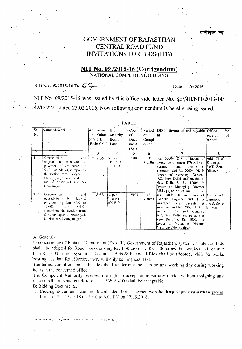## GOVERNMENT OF RAJASTHAN CENTRAL ROAD FUND INVITATIONS FOR BIDS (IFB)

### NIT No. 09/2015-16 (Corrigendum) NATIONAL COMPETITIVE BIDDING

- -

## $\cdot$ BID No.-09/2015-16/D-67

Date *11,Q4.2016*

NIT No. 09/2015-16 was issued by this office vide letter No. SE/NH/NIT/2013-14/ 42/D-2221 dated 23.02.2016. Now following corrigendum is hereby being issued:-

| <b>Sr</b>      | Name of Work                      | Approxim   | Bid                  | $Cost -$       | Period | DD in favour of and payable             | Office<br>for |
|----------------|-----------------------------------|------------|----------------------|----------------|--------|-----------------------------------------|---------------|
| No.            |                                   | ate Value  | Security             | of             | οf     | ht                                      | receipt<br>of |
|                |                                   | bf Work-   | (Rs.in               | Docu           | Compl  |                                         | tender        |
|                |                                   | (Rs.in Cr) | Lacs)                | ment           | e-tion |                                         |               |
|                |                                   |            |                      | (Rs.)          |        |                                         |               |
|                |                                   | 3          | $\overline{.4}$      | $\mathfrak{S}$ | 6      |                                         | 8             |
|                | Construction<br>and               | 157.35     | $As.$ per            | $-9000$        | $-18$  | Rs. 6000/- DD in favour of Addl. Chief  |               |
|                | upgradation to 10 m wide CC.      |            | Clause 16            |                | Months | Executive Engineer PWD, Div.- Engineer, |               |
|                | pavement of km 56/450 to          |            | of S.B.D             |                |        | Suratgarh -<br>and<br>payable           | at PWD, Zone- |
|                | 96/00 of SH-94 comprising         |            | $\sim$ $\sim$ $\sim$ |                |        | Suratgarh and Rs. 2000/- DD in Bikaner  |               |
|                | the section from Suratgarh to     |            |                      |                |        | favour of Secretary General,            |               |
|                | Shrivijaynagar road and link      |            |                      |                |        | RC, New Delhi and payable at            |               |
|                | road to Jaitsar in District Sri   |            |                      |                |        | New Delhi & Rs. 1000/- in               |               |
|                | Ganganagar                        |            |                      |                |        | favour of Managing Director             |               |
|                |                                   |            |                      |                |        | RISL, payable at Jaipur.                |               |
| $\overline{2}$ | Construction<br>and               | 118.65     | $As$ per             | 9000           | 18     | Rs. 6000/- DD in favour of Addl. Chief  |               |
|                | upgradation to $10$ m wide CC.    |            | Clause 16            |                | Months | Executive Engineer PWD, Div.- Engineer, |               |
|                | pavement of km 96/0 to            |            | of S.B.D.            |                |        | Suratgarh<br>and payable                | at PWD, Zone- |
|                | 128/050<br>$of$ .<br><b>SH-94</b> |            |                      |                |        | Suratgarh and Rs. 2000/- DD in Bikaner  |               |
|                | comprising the section from       |            |                      |                |        | favour of Secretary General.            |               |
|                | Shrivijaynagar to Anoopgarh       |            |                      |                |        | RC, New Delhi and payable at            |               |
|                | in District Sri Ganganagar        |            |                      |                |        | New Delhi & Rs. 1000/- in               |               |
|                |                                   |            |                      |                |        | favour of Managing Director             |               |
|                |                                   |            |                      |                |        | RISL, payable at Jaipur.                |               |
|                |                                   |            |                      |                |        |                                         |               |

#### TABLE'

#### A: General-

In concurrence of Finance Department (Exp, III) Government of Rajasthan, system of potential bids shall be adopted for Road works costing Rs. 1.50 crores to Rs. 5.00 croes. For works costing more than Rs. 5.00 crores. system of Technical Bids & Financial Bids shall be adopted, while for works costing less than Rsl.50crore. there will only be Financial Bid.

The terms. conditions and other details of tender may be seen on any working day during working hours in the concerned office.

The Competent Authority reserves the right to accept or reject any tender without assigning any reason. All terms and conditions of R.P.W.A.-100 shall be acceptable.

B: Bidding Documents.

I. Bidding documents can be downloaded from internet website http://eproc.rajasthan.goy.in from  $(0.00 \; \text{N} \; \text{on} \; 18.04.2016 \; \text{to} \; 6.00 \; \text{PM} \; \text{on} \; 17.05.2016.$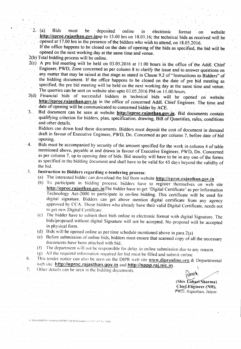2. (a) Bids must be deposited online in electronic format on website http://eproc.rajasthan.gov.inup to 15.00 hrs on 18.05.16; the technical bids as received will be opened at 17.00 hrs in the presence of the bidders who wish to attend, on 18.05.2016.

If the office happens to be closed on the date of opening of the bids as specified, the bid will be opened on the next working day at the same time and venue.

- '2(b) Total bidding process will be online.
- $2(c)$  A pre bid meeting will be held on 03.05.2016 at 11.00 hours in the office of the Addl. Chief Engineer, PWD, Zone concerned as per column 8 to clarify the issue and to answer questions on any matter that may be raised at that stage as stated in Clause 9.2 of "Instructions to Bidders" of the bidding document. If the office happens to be closed on the date of pre bid meeting as specified, the pre bid meeting will be held on the next working day at the same time and venue. The querries can be sent on website also upto 03.05.2016 PM on 11.00.hours.
- 2{d) Financial bids of successful bidders in technical bids will be' opened on website http://eproc.rajasthan.gov.in in the office of concerned Addl. Chief Engineer. The time and date of opening will be communicated to concerned bidder by ACE.
- 3. Bid document can be seen at website http://eproc.rajasthan.gov.in. Bid documents contain qualifying criterion for bidders, plan, specification, drawing, Bill of Quantities, rules, conditions and other details.
	- .Bidders can down load these documents. Bidders must deposit the cost of document in demand . draft in favour of Executive Engineer, PWO, On. Concerned as per column 7, before date of bid opening,
- Bids must be accompanied by security of the amount specified for the work in column 4 of table mentioned above, payable at and drawn. in favour of Executive Engineer, PWO, On. Concerned as per column 7, up to opening date of bids. Bid security will have to be in any one of the forms as specified in the.bidding document and shall have to be valid for 45 days beyond the validity of the bid.  $\cdot$  4.

#### Instruction to Bidders regarding e-tendering process: 5.

- (a) The interested bidder can download the bid from website http://eproc.rajasthan.gov.in
- (b) To participate in bidding process, bidders have to register themselves on web site http://eproc.rajasthan.gov.inThe bidder have to get 'Digital Certificate' as per·lnformation Technology Act-2000 to participate in on-line bidding. This certificate will be used for digital signature. Bidders can get above mention digital certificate from any agency approved by CCA. Those bidders who already have their valid Digital Certificate, needs not to get new Digital Certificate.
- (c) The bidder have to submit their bids online in electronic format with digital Signature. The bids/proposed without digital Signature will not be accepted. No proposal will be accepted in physical form.
- (d) Bids will be opened online as per time schedule mentioned above in para  $2(a)$
- (e) Before submission of online bids, bidders must ensure that scanned copy of all the necessary documents have been attached with bid.
- (f) The department will not be responsible for delay in online submission due to any reason.
- (g) All the required information required for bid must be tilled and submit online.
- This tender notice can also be seen on the DIPR web site  $www.dipronline.org & Departmental$ web site http://eproc.rajasthan.gov.in and http://sppp.raj.nic.in.
- Other details can be seen in the bidding documents. 7:

 $\approx$ 

 $(Shiv$  Laharr $\widehat{Sharma}$ ) Chief Engineer (NH), PWD. Rajasthan. Jaipur.

ISKVASHISTHA (H-compIINITINIT (15-16)(Comgendant CREACT No. 9 doc

6.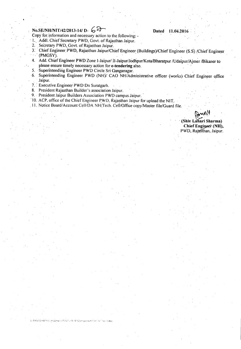## *No.SE/NH/NIT/42/2013-141* **D- 6~ Dated 11.04.2016**

Copy for information and necessary action to the following: -

1. Addl. Chief Secretary PWD, Govt. of Rajasthan Jaipur.

- 2. Secretary PWD, Govt. of Rajasthan Jaipur.
- 3: 'Chief Engineer PWD, Rajasthan Jaipur/Chief Engineer (Buildings)/Chief Engineer (S,S) *IChief* Engineer  $\sim$  (PMGSY).
- 4. Add. Chief Engineer PWD Zone I-Jaipur/ II-Jaipur/Jodhpur/Kota/Bharatpur /Udaipur/Ajmer /Bikaner to please ensure timely necessary action for e-tendering also.
- 5. Superintending Engineer PWD Circle Sri Ganganagar.
- 6. Superintending Engineer PWD (NH)/ CAO NH/Admioistrative officer (works} Chief Engineer office Jaipur.
- 7. Executive Engineer PWD Dn Suratgarh.
- 8. President Rajasthan Builder's association Jaipur.
- 9, President Jaipur Builders Association PWD campus Jaipur.
- '10, ACP. office of the Chief Engineer rWD. Rajasthan Jaipur for upload the NIT.
- 11. Notice Board/Account Cell/DA NH/Tech. Cell/Office copy/Master file/Guard file.

(Shiv Lahari Sharma) **Chief** Engineer (NH), PWD, Rajasthan, Jaipur.

E ISKVASHISTHA (H-compatifitivit) (15-16)\Corngegaum (IRF NIT No. 9 doc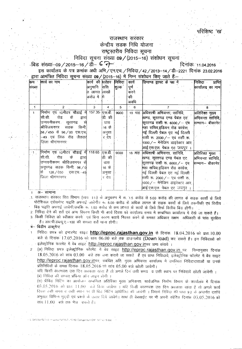### परिशिष्ट 'ख'

### राजस्थान सरकार

## केन्द्रीय सडक निधि योजना

## राष्ट्रस्तरीय निविदा सुचना

### निविदा सूचना संख्या 09 / (2015-16) संशोधन सूचना

-बिड संख्या-09 / 2015-16 / डो- 6 ने

दिनांकः 11.04.2016

.<br>इस कार्यालय के पत्र क्रमांक अधी अभि /एन.एच. /निविदा / 42 / 2013-14 / डी-2221 दिनांक 23.02.2016 द्वारा आमंत्रित निविदा सूचना संख्या 09/(2015–16) में निम्न संशोधन किए जाते हैं:–

| किम           | कार्य का नाम                               | कार्य की घरोहर निविदा |                     |       | कार्य     | डिमाण्ड ड्राफ्ट के पक्ष में                  | निविदा $\,$ $\,$<br>प्राप्ति |  |
|---------------|--------------------------------------------|-----------------------|---------------------|-------|-----------|----------------------------------------------|------------------------------|--|
| संख्या        |                                            | अनुमानि               | राशि                | शुल्क | ' पूर्ण   |                                              | कार्यालय का नाम              |  |
|               |                                            | त लागत लाखों          |                     |       | करने      |                                              |                              |  |
|               |                                            | करोड में गि           |                     |       | की        |                                              |                              |  |
|               |                                            |                       |                     |       | अवधि      |                                              |                              |  |
| $1^{\degree}$ |                                            | 3                     | 4                   | 5     | $\cdot$ 6 | 7                                            | 8                            |  |
| $\mathbf{1}$  | निर्माण एवं 10मीटर चौडाई में 157.35 एस.बी. |                       |                     | 9000  |           | 18 माह अधिशाषी अभियन्ता, सानिवि,             | अतिरिक्त मुख्य               |  |
|               | के<br>सी.सी. रोड<br>द्वारा                 |                       | <sup>.</sup> डी. की |       |           | खण्ड, सूरतगढ एण्ड पेबल एट                    | अभियन्ता सानिवि,             |  |
|               | उन्नयनीकरणः सूरतगढ                         |                       | धारा                |       |           | सूरतगढ राशी रू. 6000 / – एव सिम्भाग— बीकानेर |                              |  |
|               | <mark>श्रीविजयनगर सडक</mark><br>किमी.      |                       | 16 के               |       |           | महा सचिव,इडियन रोड कांग्रेस,                 |                              |  |
|               | 56⁄450 से 96⁄00 एस.एच                      |                       | अनुसा               |       |           | नई दिल्ली पेबल एट नई दिल्ली                  |                              |  |
|               | .<br> - 49 एवं लिंक रोड जैतसर              |                       | र देय               |       |           | राशी रू. 2000 / – एवं राशी रू.               |                              |  |
|               | ज़िला श्रीगंगानगर <sub>ं</sub>             |                       |                     |       |           | 1000/ – मेनेजिंग डाइरेक्टर आर.               |                              |  |
|               |                                            |                       |                     |       |           | आई.एस.एल. पेबल एट जयपुर ।                    |                              |  |
|               | निर्माण एवं 10मीटर चौडाई में 118.65        |                       | एस.बी.              | 9000  | 18 माह    | अधिशाषी अभियन्ता, सानिवि,                    | अतिरिक्त मुख्य               |  |
|               | सी.सी. रोड कें<br>द्वारा                   |                       | डी की               |       |           | खण्ड, सूरतगढ एण्ड पेबल एट                    | अभियन्ता सानिवि,             |  |
|               | उन्नयनीकरण श्रीविजयनगर से                  |                       | धारा                |       |           | सूरतगढ राशी रू. 6000/- एव. सिम्भाग- बीकानेर  |                              |  |
|               | अनूपगढ सडक किमी. 96 ⁄ 0                    |                       | 16 के               |       |           | महा सचिव,इडियन रोड कांग्रेस,                 |                              |  |
|               | 128 / 050 एस.एच.-49<br>से                  |                       | अनुसा               |       |           | नई दिल्ली पेबल एट नई दिल्ली '                |                              |  |
|               | जिला श्रीगंगानगर                           |                       | र देय               |       |           | राशी रू. 2000 ∕ – एवं राशी रू.               |                              |  |
|               |                                            |                       |                     |       |           | 1000/- मेनेजिंग डाइरेक्टर आर.                |                              |  |
|               |                                            |                       |                     |       |           | आई.एस.एल. पेबल एट जयपुर ।                    |                              |  |

अ– सामान्य

.1. राजस्थान सरकार वित्त विभाग (व्यय ।।।) के अनुसरण में रू. 1.5 करोड़ से 5.00 करोड़ की लागत के सड़क कार्यों के लिये पोटेशियल एसेसगेन्ट पद्धति अपनाई जावेगी। रू. 5.00 करोड से अधिक लागत के सड़क कार्यों के लिये तकनीकी एवं वित्तीय बिड़ पद्धति अपनाई जावेगी,जबकि रू. 1.50 करोड़ से कम लागत के कार्यों के लिये सिर्फ वित्तीय बिड़ होगी।

2. निविदा देने की शर्ते एवं अन्य विवरण किसी भी कार्य दिवस को कार्यालय समय में सम्बन्धित कार्यालय में देखे जा सकते हैं। 3. किसी निविदा को स्वीकार करने एवं बिना कारण बताये निरस्त करने के समस्त अधिकार सक्षम अधिकारी के पास सुरक्षित

है। आर.पी.डब्ल्यू.ए.--100 की समस्त शर्ते मान्य होगी।

SHBSTEA tel comolidation of L15-16 (Componence CRT NEL No.

- ब– बिडींग डाकमेन्ट
	- निविद्या प्रपत्र को इन्टरनेट साइट http://eproc.rajasthan.gov.in से दिनांक 18.04.2016 को प्रात:10.00 बजे से दिनांक 17.05.2016 को सांय 06.00 बजे तक डाउनलोड (Down load) कर सकते है। इन निविदाओं को इलेक्ट्रोनिक फारमेट में वेब साइट http://eproc.rajasthan.gov.inपर जमा कराये।
- (अ) निविदा प्रपत्र इलेक्ट्रोनिक फॉरमेट में बेव साइट http://eproc.rajasthan.gov.in पर निम्नानुसार दिनांक  $\overline{\mathcal{L}}$ 18.05.2016 को सांय 03.00 बजे तक जमा कराये जा सकते हैं एवं प्राप्त निविदायें, इलेक्ट्रोनिक फॉरमेट में बेव साइट http://eproc.rajasthan.gov.inux, संबंधित अति. मुख्य अभियन्ता कार्यालय में उपरिथत निविदादाताओं या उनके प्रतिनिधियों के समक्ष दिनांक 18.05.2016 को सांय 05.00 बजे खोली जायेगी।
	- यदि किसी कारणवंश उस दिन अवकाश रहता है तो अगले दिन उसी समय व उसी स्थान पर निविदायें खोली जायेगी । (ब) निविदा की समस्त प्रक्रिया ऑन लाइन होगी ।-
	- (स) प्रीबिड मिटिंग का आयोजन सम्बन्धित अतिरिक्त मुख्य अभियन्ता, सार्वजनिक निर्माण विभाग के कार्यालय में दिनांक 03.05.2016 को प्रातः 11.00 बजे किया जायेगा । यदि किसी कारणवश उस दिन अवकाश रहता है तो अगले कार्य दिवस उसी समय व उसी स्थान पर प्री बिड़ मिटिंग आयोजित की जावेगी । जिसमें निविदा की धारा 9.2 के अन्तर्गत दर्शाये अनुसार विभिन्न मुद्दों एवं प्रश्नों के उत्तर दिये जावेंगे। साथ ही वेबसाईट पर भी अपनी क्वेरिज दिनाक 03.05.2016 को सांय 11.00 बजे तक भेज सकते हैं।